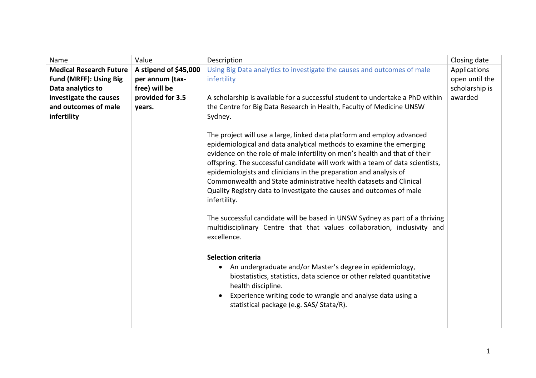| Name                           | Value                 | Description                                                                                                                                                                                                                                                                                                                                                                                                                                                                                                                                     | Closing date   |
|--------------------------------|-----------------------|-------------------------------------------------------------------------------------------------------------------------------------------------------------------------------------------------------------------------------------------------------------------------------------------------------------------------------------------------------------------------------------------------------------------------------------------------------------------------------------------------------------------------------------------------|----------------|
| <b>Medical Research Future</b> | A stipend of \$45,000 | Using Big Data analytics to investigate the causes and outcomes of male                                                                                                                                                                                                                                                                                                                                                                                                                                                                         | Applications   |
| <b>Fund (MRFF): Using Big</b>  | per annum (tax-       | infertility                                                                                                                                                                                                                                                                                                                                                                                                                                                                                                                                     | open until the |
| Data analytics to              | free) will be         |                                                                                                                                                                                                                                                                                                                                                                                                                                                                                                                                                 | scholarship is |
| investigate the causes         | provided for 3.5      | A scholarship is available for a successful student to undertake a PhD within                                                                                                                                                                                                                                                                                                                                                                                                                                                                   | awarded        |
| and outcomes of male           | years.                | the Centre for Big Data Research in Health, Faculty of Medicine UNSW                                                                                                                                                                                                                                                                                                                                                                                                                                                                            |                |
| infertility                    |                       | Sydney.                                                                                                                                                                                                                                                                                                                                                                                                                                                                                                                                         |                |
|                                |                       | The project will use a large, linked data platform and employ advanced<br>epidemiological and data analytical methods to examine the emerging<br>evidence on the role of male infertility on men's health and that of their<br>offspring. The successful candidate will work with a team of data scientists,<br>epidemiologists and clinicians in the preparation and analysis of<br>Commonwealth and State administrative health datasets and Clinical<br>Quality Registry data to investigate the causes and outcomes of male<br>infertility. |                |
|                                |                       | The successful candidate will be based in UNSW Sydney as part of a thriving<br>multidisciplinary Centre that that values collaboration, inclusivity and<br>excellence.                                                                                                                                                                                                                                                                                                                                                                          |                |
|                                |                       | <b>Selection criteria</b><br>An undergraduate and/or Master's degree in epidemiology,<br>$\bullet$<br>biostatistics, statistics, data science or other related quantitative<br>health discipline.<br>Experience writing code to wrangle and analyse data using a<br>$\bullet$<br>statistical package (e.g. SAS/ Stata/R).                                                                                                                                                                                                                       |                |